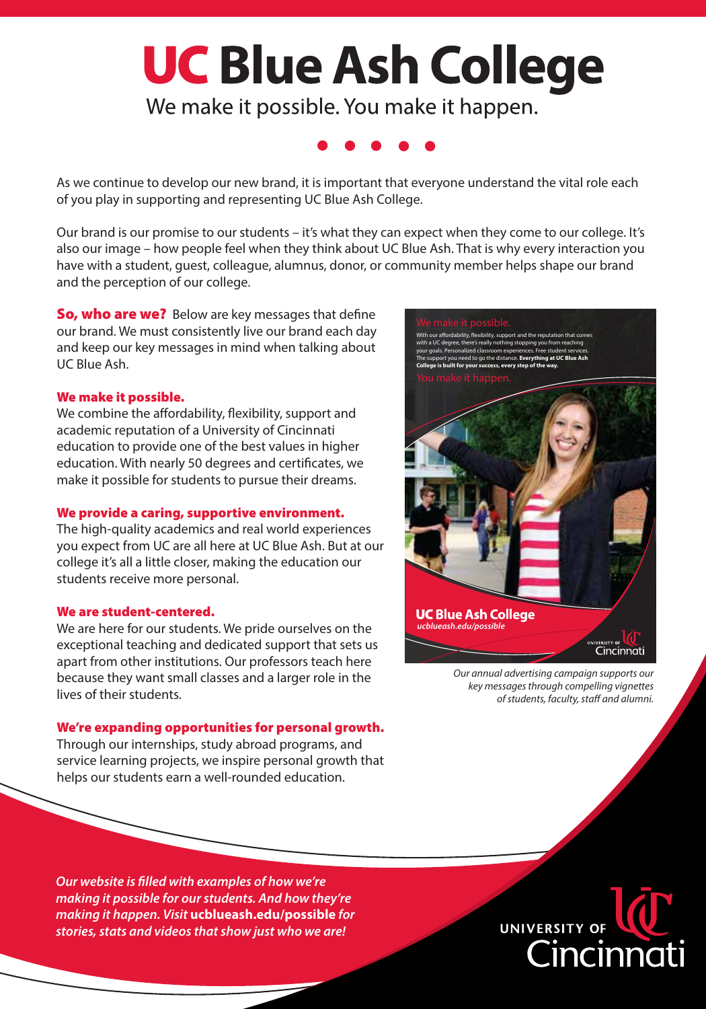# **UC Blue Ash College**

We make it possible. You make it happen.

As we continue to develop our new brand, it is important that everyone understand the vital role each of you play in supporting and representing UC Blue Ash College.

Our brand is our promise to our students – it's what they can expect when they come to our college. It's also our image – how people feel when they think about UC Blue Ash. That is why every interaction you have with a student, guest, colleague, alumnus, donor, or community member helps shape our brand and the perception of our college.

**So, who are we?** Below are key messages that define our brand. We must consistently live our brand each day and keep our key messages in mind when talking about UC Blue Ash.

#### We make it possible.

We combine the affordability, flexibility, support and academic reputation of a University of Cincinnati education to provide one of the best values in higher education. With nearly 50 degrees and certificates, we make it possible for students to pursue their dreams.

#### We provide a caring, supportive environment.

The high-quality academics and real world experiences you expect from UC are all here at UC Blue Ash. But at our college it's all a little closer, making the education our students receive more personal.

#### We are student-centered.

We are here for our students. We pride ourselves on the exceptional teaching and dedicated support that sets us apart from other institutions. Our professors teach here because they want small classes and a larger role in the lives of their students.

#### We're expanding opportunities for personal growth.

Through our internships, study abroad programs, and service learning projects, we inspire personal growth that helps our students earn a well-rounded education.



*Our annual advertising campaign supports our key messages through compelling vignettes*   $of students, faculty, staff and aluminum.$ 

*Our website is lled with examples of how we're making it possible for our students. And how they're making it happen. Visit* **ucblueash.edu/possible** *for stories, stats and videos that show just who we are!*